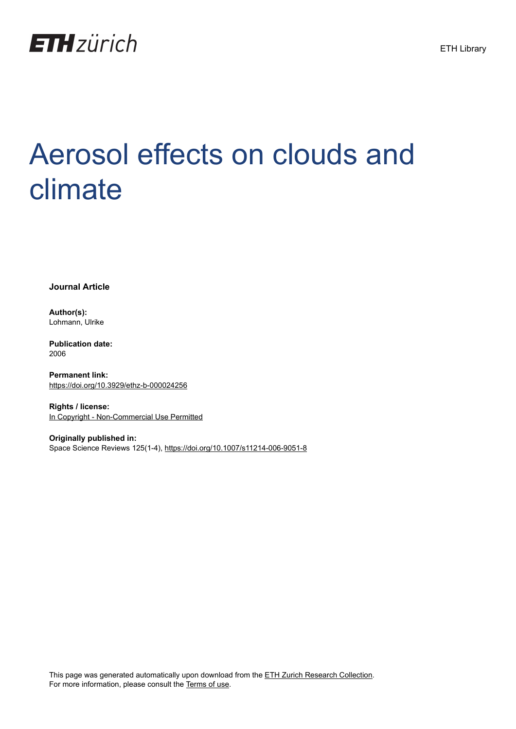

# Aerosol effects on clouds and climate

**Journal Article**

**Author(s):** Lohmann, Ulrike

**Publication date:** 2006

**Permanent link:** <https://doi.org/10.3929/ethz-b-000024256>

**Rights / license:** [In Copyright - Non-Commercial Use Permitted](http://rightsstatements.org/page/InC-NC/1.0/)

**Originally published in:** Space Science Reviews 125(1-4),<https://doi.org/10.1007/s11214-006-9051-8>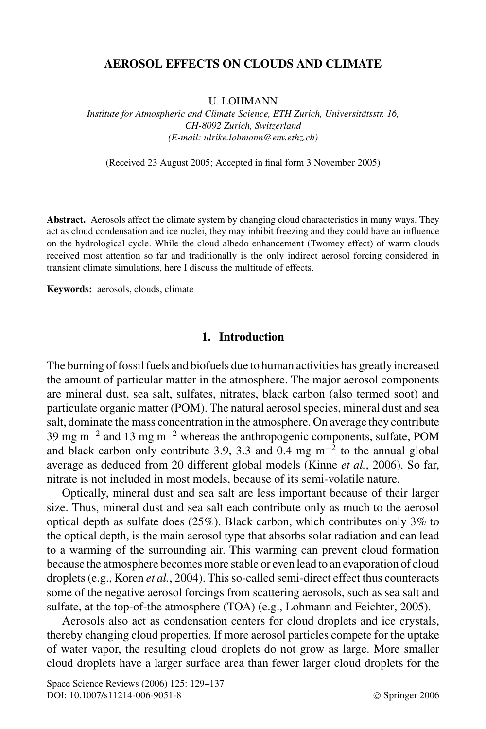## **AEROSOL EFFECTS ON CLOUDS AND CLIMATE**

U. LOHMANN

*Institute for Atmospheric and Climate Science, ETH Zurich, Universitätsstr. 16, CH-8092 Zurich, Switzerland (E-mail: ulrike.lohmann@env.ethz.ch)*

(Received 23 August 2005; Accepted in final form 3 November 2005)

**Abstract.** Aerosols affect the climate system by changing cloud characteristics in many ways. They act as cloud condensation and ice nuclei, they may inhibit freezing and they could have an influence on the hydrological cycle. While the cloud albedo enhancement (Twomey effect) of warm clouds received most attention so far and traditionally is the only indirect aerosol forcing considered in transient climate simulations, here I discuss the multitude of effects.

**Keywords:** aerosols, clouds, climate

## **1. Introduction**

The burning of fossil fuels and biofuels due to human activities has greatly increased the amount of particular matter in the atmosphere. The major aerosol components are mineral dust, sea salt, sulfates, nitrates, black carbon (also termed soot) and particulate organic matter (POM). The natural aerosol species, mineral dust and sea salt, dominate the mass concentration in the atmosphere. On average they contribute 39 mg m<sup> $-2$ </sup> and 13 mg m<sup> $-2$ </sup> whereas the anthropogenic components, sulfate, POM and black carbon only contribute 3.9, 3.3 and  $0.4$  mg m<sup>-2</sup> to the annual global average as deduced from 20 different global models (Kinne *et al.*, 2006). So far, nitrate is not included in most models, because of its semi-volatile nature.

Optically, mineral dust and sea salt are less important because of their larger size. Thus, mineral dust and sea salt each contribute only as much to the aerosol optical depth as sulfate does (25%). Black carbon, which contributes only 3% to the optical depth, is the main aerosol type that absorbs solar radiation and can lead to a warming of the surrounding air. This warming can prevent cloud formation because the atmosphere becomes more stable or even lead to an evaporation of cloud droplets (e.g., Koren *et al.*, 2004). This so-called semi-direct effect thus counteracts some of the negative aerosol forcings from scattering aerosols, such as sea salt and sulfate, at the top-of-the atmosphere (TOA) (e.g., Lohmann and Feichter, 2005).

Aerosols also act as condensation centers for cloud droplets and ice crystals, thereby changing cloud properties. If more aerosol particles compete for the uptake of water vapor, the resulting cloud droplets do not grow as large. More smaller cloud droplets have a larger surface area than fewer larger cloud droplets for the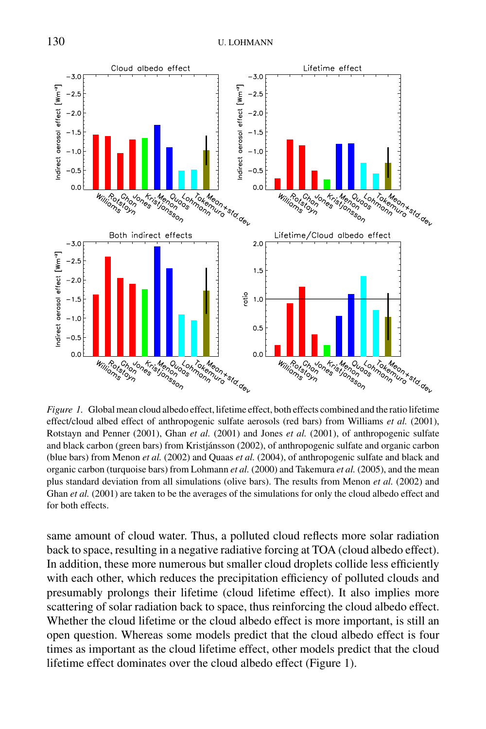

effect/cloud albed effect of anthropogenic sulfate aerosols (red bars) from Williams *et al.* (2001), Rotstayn and Penner (2001), Ghan *et al.* (2001) and Jones *et al.* (2001), of anthropogenic sulfate and black carbon (green bars) from Kristjánsson (2002), of anthropogenic sulfate and organic carbon (blue bars) from Menon *et al.* (2002) and Quaas *et al.* (2004), of anthropogenic sulfate and black and organic carbon (turquoise bars) from Lohmann *et al.* (2000) and Takemura *et al.* (2005), and the mean plus standard deviation from all simulations (olive bars). The results from Menon *et al.* (2002) and Ghan *et al.* (2001) are taken to be the averages of the simulations for only the cloud albedo effect and for both effects.

same amount of cloud water. Thus, a polluted cloud reflects more solar radiation back to space, resulting in a negative radiative forcing at TOA (cloud albedo effect). In addition, these more numerous but smaller cloud droplets collide less efficiently with each other, which reduces the precipitation efficiency of polluted clouds and presumably prolongs their lifetime (cloud lifetime effect). It also implies more scattering of solar radiation back to space, thus reinforcing the cloud albedo effect. Whether the cloud lifetime or the cloud albedo effect is more important, is still an open question. Whereas some models predict that the cloud albedo effect is four times as important as the cloud lifetime effect, other models predict that the cloud lifetime effect dominates over the cloud albedo effect (Figure 1).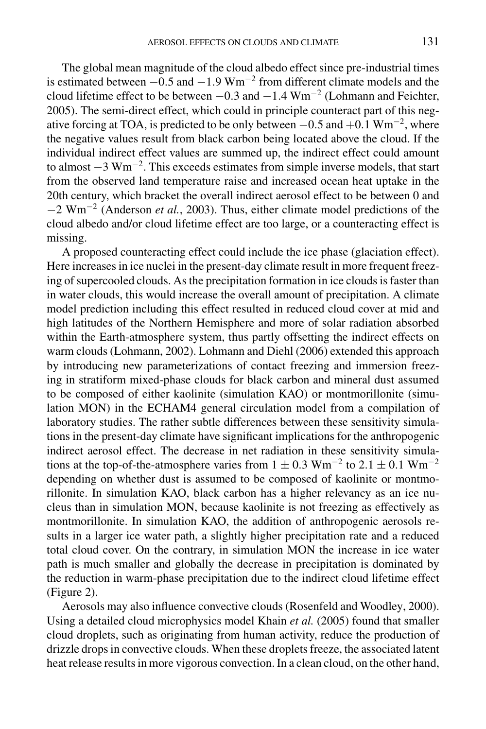The global mean magnitude of the cloud albedo effect since pre-industrial times is estimated between  $-0.5$  and  $-1.9$  Wm<sup>-2</sup> from different climate models and the cloud lifetime effect to be between  $-0.3$  and  $-1.4$  Wm<sup>-2</sup> (Lohmann and Feichter, 2005). The semi-direct effect, which could in principle counteract part of this negative forcing at TOA, is predicted to be only between  $-0.5$  and  $+0.1$  Wm<sup>-2</sup>, where the negative values result from black carbon being located above the cloud. If the individual indirect effect values are summed up, the indirect effect could amount to almost −3 Wm<sup>−</sup>2. This exceeds estimates from simple inverse models, that start from the observed land temperature raise and increased ocean heat uptake in the 20th century, which bracket the overall indirect aerosol effect to be between 0 and −2 Wm<sup>−</sup><sup>2</sup> (Anderson *et al.*, 2003). Thus, either climate model predictions of the cloud albedo and/or cloud lifetime effect are too large, or a counteracting effect is missing.

A proposed counteracting effect could include the ice phase (glaciation effect). Here increases in ice nuclei in the present-day climate result in more frequent freezing of supercooled clouds. As the precipitation formation in ice clouds is faster than in water clouds, this would increase the overall amount of precipitation. A climate model prediction including this effect resulted in reduced cloud cover at mid and high latitudes of the Northern Hemisphere and more of solar radiation absorbed within the Earth-atmosphere system, thus partly offsetting the indirect effects on warm clouds (Lohmann, 2002). Lohmann and Diehl (2006) extended this approach by introducing new parameterizations of contact freezing and immersion freezing in stratiform mixed-phase clouds for black carbon and mineral dust assumed to be composed of either kaolinite (simulation KAO) or montmorillonite (simulation MON) in the ECHAM4 general circulation model from a compilation of laboratory studies. The rather subtle differences between these sensitivity simulations in the present-day climate have significant implications for the anthropogenic indirect aerosol effect. The decrease in net radiation in these sensitivity simulations at the top-of-the-atmosphere varies from  $1 \pm 0.3$  Wm<sup>-2</sup> to  $2.1 \pm 0.1$  Wm<sup>-2</sup> depending on whether dust is assumed to be composed of kaolinite or montmorillonite. In simulation KAO, black carbon has a higher relevancy as an ice nucleus than in simulation MON, because kaolinite is not freezing as effectively as montmorillonite. In simulation KAO, the addition of anthropogenic aerosols results in a larger ice water path, a slightly higher precipitation rate and a reduced total cloud cover. On the contrary, in simulation MON the increase in ice water path is much smaller and globally the decrease in precipitation is dominated by the reduction in warm-phase precipitation due to the indirect cloud lifetime effect (Figure 2).

Aerosols may also influence convective clouds (Rosenfeld and Woodley, 2000). Using a detailed cloud microphysics model Khain *et al.* (2005) found that smaller cloud droplets, such as originating from human activity, reduce the production of drizzle drops in convective clouds. When these droplets freeze, the associated latent heat release results in more vigorous convection. In a clean cloud, on the other hand,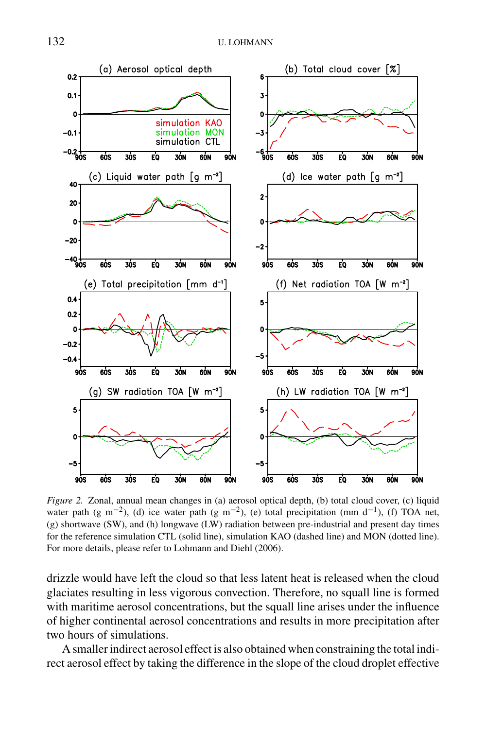

*Figure 2.* Zonal, annual mean changes in (a) aerosol optical depth, (b) total cloud cover, (c) liquid water path (g m<sup>-2</sup>), (d) ice water path (g m<sup>-2</sup>), (e) total precipitation (mm d<sup>-1</sup>), (f) TOA net, (g) shortwave (SW), and (h) longwave (LW) radiation between pre-industrial and present day times for the reference simulation CTL (solid line), simulation KAO (dashed line) and MON (dotted line). For more details, please refer to Lohmann and Diehl (2006).

drizzle would have left the cloud so that less latent heat is released when the cloud glaciates resulting in less vigorous convection. Therefore, no squall line is formed with maritime aerosol concentrations, but the squall line arises under the influence of higher continental aerosol concentrations and results in more precipitation after two hours of simulations.

A smaller indirect aerosol effect is also obtained when constraining the total indirect aerosol effect by taking the difference in the slope of the cloud droplet effective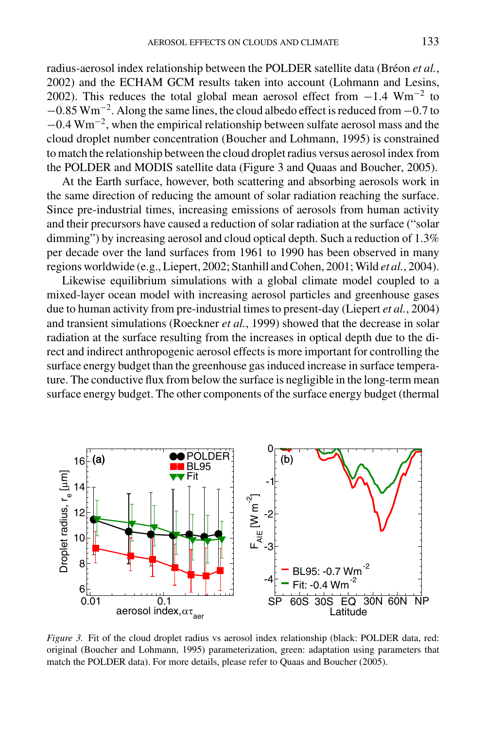radius-aerosol index relationship between the POLDER satellite data (Bréon et al., 2002) and the ECHAM GCM results taken into account (Lohmann and Lesins, 2002). This reduces the total global mean aerosol effect from  $-1.4 \text{ Wm}^{-2}$  to  $-0.85$  Wm<sup>-2</sup>. Along the same lines, the cloud albedo effect is reduced from  $-0.7$  to −0.4 Wm<sup>−</sup>2, when the empirical relationship between sulfate aerosol mass and the cloud droplet number concentration (Boucher and Lohmann, 1995) is constrained to match the relationship between the cloud droplet radius versus aerosol index from the POLDER and MODIS satellite data (Figure 3 and Quaas and Boucher, 2005).

At the Earth surface, however, both scattering and absorbing aerosols work in the same direction of reducing the amount of solar radiation reaching the surface. Since pre-industrial times, increasing emissions of aerosols from human activity and their precursors have caused a reduction of solar radiation at the surface ("solar dimming") by increasing aerosol and cloud optical depth. Such a reduction of 1.3% per decade over the land surfaces from 1961 to 1990 has been observed in many regions worldwide (e.g., Liepert, 2002; Stanhill and Cohen, 2001; Wild *et al.*, 2004).

Likewise equilibrium simulations with a global climate model coupled to a mixed-layer ocean model with increasing aerosol particles and greenhouse gases due to human activity from pre-industrial times to present-day (Liepert *et al.*, 2004) and transient simulations (Roeckner *et al.*, 1999) showed that the decrease in solar radiation at the surface resulting from the increases in optical depth due to the direct and indirect anthropogenic aerosol effects is more important for controlling the surface energy budget than the greenhouse gas induced increase in surface temperature. The conductive flux from below the surface is negligible in the long-term mean surface energy budget. The other components of the surface energy budget (thermal



*Figure 3.* Fit of the cloud droplet radius vs aerosol index relationship (black: POLDER data, red: original (Boucher and Lohmann, 1995) parameterization, green: adaptation using parameters that match the POLDER data). For more details, please refer to Quaas and Boucher (2005).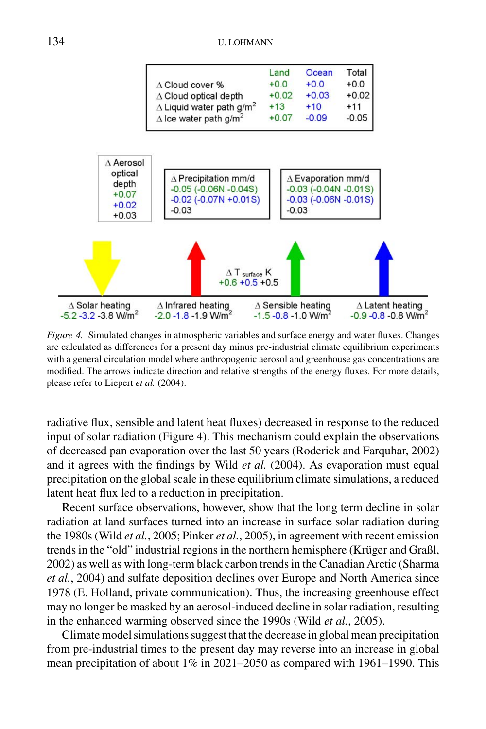

*Figure 4.* Simulated changes in atmospheric variables and surface energy and water fluxes. Changes are calculated as differences for a present day minus pre-industrial climate equilibrium experiments with a general circulation model where anthropogenic aerosol and greenhouse gas concentrations are modified. The arrows indicate direction and relative strengths of the energy fluxes. For more details, please refer to Liepert *et al.* (2004).

radiative flux, sensible and latent heat fluxes) decreased in response to the reduced input of solar radiation (Figure 4). This mechanism could explain the observations of decreased pan evaporation over the last 50 years (Roderick and Farquhar, 2002) and it agrees with the findings by Wild *et al.* (2004). As evaporation must equal precipitation on the global scale in these equilibrium climate simulations, a reduced latent heat flux led to a reduction in precipitation.

Recent surface observations, however, show that the long term decline in solar radiation at land surfaces turned into an increase in surface solar radiation during the 1980s (Wild *et al.*, 2005; Pinker *et al.*, 2005), in agreement with recent emission trends in the "old" industrial regions in the northern hemisphere (Krüger and Graßl, 2002) as well as with long-term black carbon trends in the Canadian Arctic (Sharma *et al.*, 2004) and sulfate deposition declines over Europe and North America since 1978 (E. Holland, private communication). Thus, the increasing greenhouse effect may no longer be masked by an aerosol-induced decline in solar radiation, resulting in the enhanced warming observed since the 1990s (Wild *et al.*, 2005).

Climate model simulations suggest that the decrease in global mean precipitation from pre-industrial times to the present day may reverse into an increase in global mean precipitation of about  $1\%$  in 2021–2050 as compared with 1961–1990. This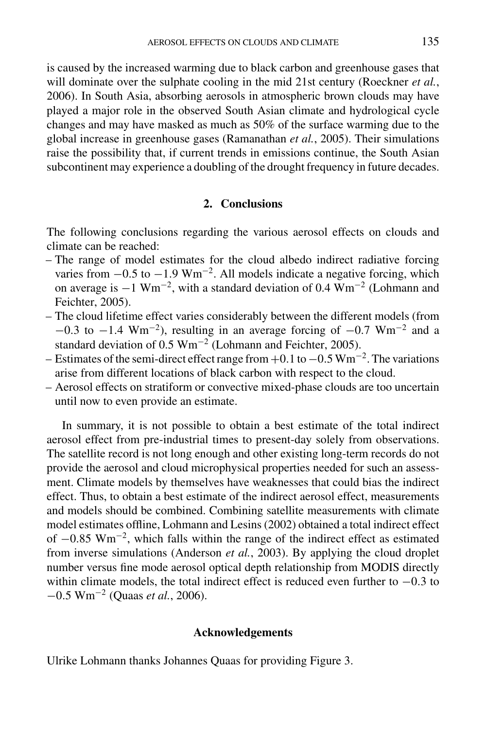is caused by the increased warming due to black carbon and greenhouse gases that will dominate over the sulphate cooling in the mid 21st century (Roeckner *et al.*, 2006). In South Asia, absorbing aerosols in atmospheric brown clouds may have played a major role in the observed South Asian climate and hydrological cycle changes and may have masked as much as 50% of the surface warming due to the global increase in greenhouse gases (Ramanathan *et al.*, 2005). Their simulations raise the possibility that, if current trends in emissions continue, the South Asian subcontinent may experience a doubling of the drought frequency in future decades.

# **2. Conclusions**

The following conclusions regarding the various aerosol effects on clouds and climate can be reached:

- The range of model estimates for the cloud albedo indirect radiative forcing varies from  $-0.5$  to  $-1.9$  Wm<sup>-2</sup>. All models indicate a negative forcing, which on average is  $-1 \text{ Wm}^{-2}$ , with a standard deviation of 0.4 Wm<sup>-2</sup> (Lohmann and Feichter, 2005).
- The cloud lifetime effect varies considerably between the different models (from  $-0.3$  to  $-1.4$  Wm<sup>-2</sup>), resulting in an average forcing of  $-0.7$  Wm<sup>-2</sup> and a standard deviation of 0.5 Wm<sup>−</sup><sup>2</sup> (Lohmann and Feichter, 2005).
- Estimates of the semi-direct effect range from  $+0.1$  to  $-0.5$  Wm<sup>-2</sup>. The variations arise from different locations of black carbon with respect to the cloud.
- Aerosol effects on stratiform or convective mixed-phase clouds are too uncertain until now to even provide an estimate.

In summary, it is not possible to obtain a best estimate of the total indirect aerosol effect from pre-industrial times to present-day solely from observations. The satellite record is not long enough and other existing long-term records do not provide the aerosol and cloud microphysical properties needed for such an assessment. Climate models by themselves have weaknesses that could bias the indirect effect. Thus, to obtain a best estimate of the indirect aerosol effect, measurements and models should be combined. Combining satellite measurements with climate model estimates offline, Lohmann and Lesins (2002) obtained a total indirect effect of −0.85 Wm<sup>−</sup>2, which falls within the range of the indirect effect as estimated from inverse simulations (Anderson *et al.*, 2003). By applying the cloud droplet number versus fine mode aerosol optical depth relationship from MODIS directly within climate models, the total indirect effect is reduced even further to  $-0.3$  to −0.5 Wm<sup>−</sup><sup>2</sup> (Quaas *et al.*, 2006).

#### **Acknowledgements**

Ulrike Lohmann thanks Johannes Quaas for providing Figure 3.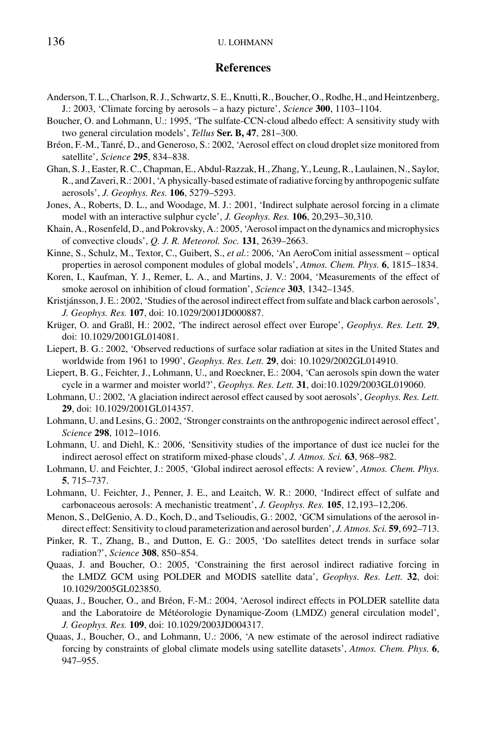#### 136 U. LOHMANN

#### **References**

- Anderson, T. L., Charlson, R. J., Schwartz, S. E., Knutti, R., Boucher, O., Rodhe, H., and Heintzenberg, J.: 2003, 'Climate forcing by aerosols – a hazy picture', *Science* **300**, 1103–1104.
- Boucher, O. and Lohmann, U.: 1995, 'The sulfate-CCN-cloud albedo effect: A sensitivity study with two general circulation models', *Tellus* **Ser. B, 47**, 281–300.
- Bréon, F.-M., Tanré, D., and Generoso, S.: 2002, 'Aerosol effect on cloud droplet size monitored from satellite', *Science* **295**, 834–838.
- Ghan, S. J., Easter, R. C., Chapman, E., Abdul-Razzak, H., Zhang, Y., Leung, R., Laulainen, N., Saylor, R., and Zaveri, R.: 2001, 'A physically-based estimate of radiative forcing by anthropogenic sulfate aerosols', *J. Geophys. Res.* **106**, 5279–5293.
- Jones, A., Roberts, D. L., and Woodage, M. J.: 2001, 'Indirect sulphate aerosol forcing in a climate model with an interactive sulphur cycle', *J. Geophys. Res.* **106**, 20,293–30,310.
- Khain, A., Rosenfeld, D., and Pokrovsky, A.: 2005, 'Aerosol impact on the dynamics and microphysics of convective clouds', *Q. J. R. Meteorol. Soc.* **131**, 2639–2663.
- Kinne, S., Schulz, M., Textor, C., Guibert, S., *et al.*: 2006, 'An AeroCom initial assessment optical properties in aerosol component modules of global models', *Atmos. Chem. Phys.* **6**, 1815–1834.
- Koren, I., Kaufman, Y. J., Remer, L. A., and Martins, J. V.: 2004, 'Measurements of the effect of smoke aerosol on inhibition of cloud formation', *Science* **303**, 1342–1345.
- Kristjánsson, J. E.: 2002, 'Studies of the aerosol indirect effect from sulfate and black carbon aerosols', *J. Geophys. Res.* **107**, doi: 10.1029/2001JD000887.
- Krüger, O. and Graßl, H.: 2002, 'The indirect aerosol effect over Europe', *Geophys. Res. Lett.* 29, doi: 10.1029/2001GL014081.
- Liepert, B. G.: 2002, 'Observed reductions of surface solar radiation at sites in the United States and worldwide from 1961 to 1990', *Geophys. Res. Lett.* **29**, doi: 10.1029/2002GL014910.
- Liepert, B. G., Feichter, J., Lohmann, U., and Roeckner, E.: 2004, 'Can aerosols spin down the water cycle in a warmer and moister world?', *Geophys. Res. Lett.* **31**, doi:10.1029/2003GL019060.
- Lohmann, U.: 2002, 'A glaciation indirect aerosol effect caused by soot aerosols', *Geophys. Res. Lett.* **29**, doi: 10.1029/2001GL014357.
- Lohmann, U. and Lesins, G.: 2002, 'Stronger constraints on the anthropogenic indirect aerosol effect', *Science* **298**, 1012–1016.
- Lohmann, U. and Diehl, K.: 2006, 'Sensitivity studies of the importance of dust ice nuclei for the indirect aerosol effect on stratiform mixed-phase clouds', *J. Atmos. Sci.* **63**, 968–982.
- Lohmann, U. and Feichter, J.: 2005, 'Global indirect aerosol effects: A review', *Atmos. Chem. Phys.* **5**, 715–737.
- Lohmann, U. Feichter, J., Penner, J. E., and Leaitch, W. R.: 2000, 'Indirect effect of sulfate and carbonaceous aerosols: A mechanistic treatment', *J. Geophys. Res.* **105**, 12,193–12,206.
- Menon, S., DelGenio, A. D., Koch, D., and Tselioudis, G.: 2002, 'GCM simulations of the aerosol indirect effect: Sensitivity to cloud parameterization and aerosol burden', *J. Atmos. Sci.* **59**, 692–713.
- Pinker, R. T., Zhang, B., and Dutton, E. G.: 2005, 'Do satellites detect trends in surface solar radiation?', *Science* **308**, 850–854.
- Quaas, J. and Boucher, O.: 2005, 'Constraining the first aerosol indirect radiative forcing in the LMDZ GCM using POLDER and MODIS satellite data', *Geophys. Res. Lett.* **32**, doi: 10.1029/2005GL023850.
- Quaas, J., Boucher, O., and Bréon, F.-M.: 2004, 'Aerosol indirect effects in POLDER satellite data and the Laboratoire de Météorologie Dynamique-Zoom (LMDZ) general circulation model', *J. Geophys. Res.* **109**, doi: 10.1029/2003JD004317.
- Quaas, J., Boucher, O., and Lohmann, U.: 2006, 'A new estimate of the aerosol indirect radiative forcing by constraints of global climate models using satellite datasets', *Atmos. Chem. Phys.* **6**, 947–955.